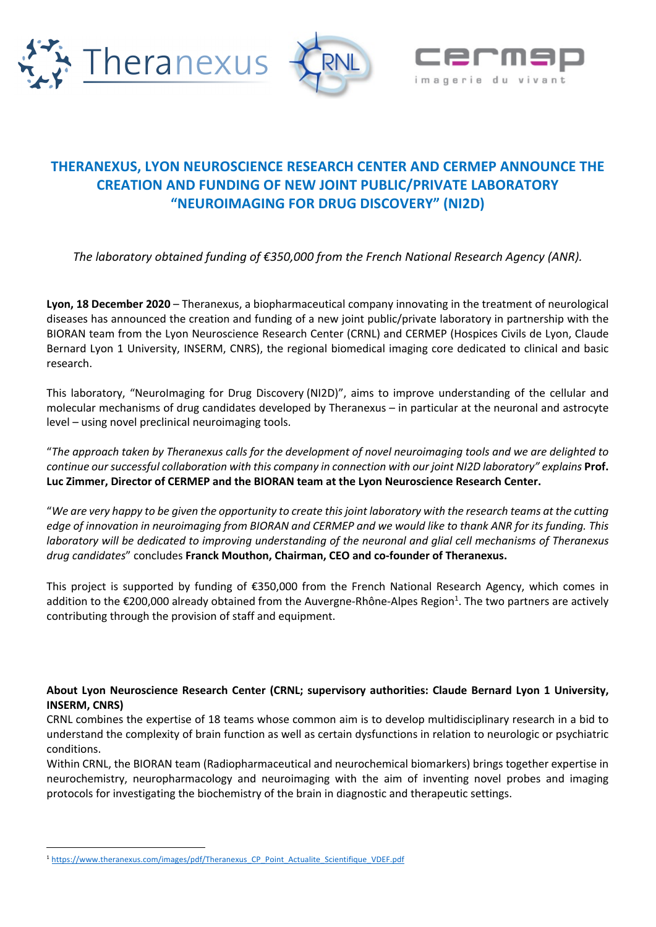





## **THERANEXUS, LYON NEUROSCIENCE RESEARCH CENTER AND CERMEP ANNOUNCE THE CREATION AND FUNDING OF NEW JOINT PUBLIC/PRIVATE LABORATORY "NEUROIMAGING FOR DRUG DISCOVERY" (NI2D)**

*The laboratory obtained funding of €350,000 from the French National Research Agency (ANR).* 

**Lyon, 18 December 2020** – Theranexus, a biopharmaceutical company innovating in the treatment of neurological diseases has announced the creation and funding of a new joint public/private laboratory in partnership with the BIORAN team from the Lyon Neuroscience Research Center (CRNL) and CERMEP (Hospices Civils de Lyon, Claude Bernard Lyon 1 University, INSERM, CNRS), the regional biomedical imaging core dedicated to clinical and basic research.

This laboratory, "NeuroImaging for Drug Discovery (NI2D)", aims to improve understanding of the cellular and molecular mechanisms of drug candidates developed by Theranexus – in particular at the neuronal and astrocyte level – using novel preclinical neuroimaging tools.

"*The approach taken by Theranexus calls for the development of novel neuroimaging tools and we are delighted to continue our successful collaboration with this company in connection with our joint NI2D laboratory" explains* **Prof. Luc Zimmer, Director of CERMEP and the BIORAN team at the Lyon Neuroscience Research Center.**

"*We are very happy to be given the opportunity to create this joint laboratory with the research teams at the cutting edge of innovation in neuroimaging from BIORAN and CERMEP and we would like to thank ANR for its funding. This laboratory will be dedicated to improving understanding of the neuronal and glial cell mechanisms of Theranexus drug candidates*" concludes **Franck Mouthon, Chairman, CEO and co-founder of Theranexus.**

This project is supported by funding of €350,000 from the French National Research Agency, which comes in addition to the €200,000 already obtained from the Auvergne-Rhône-Alpes Region<sup>1</sup>. The two partners are actively contributing through the provision of staff and equipment.

## **About Lyon Neuroscience Research Center (CRNL; supervisory authorities: Claude Bernard Lyon 1 University, INSERM, CNRS)**

CRNL combines the expertise of 18 teams whose common aim is to develop multidisciplinary research in a bid to understand the complexity of brain function as well as certain dysfunctions in relation to neurologic or psychiatric conditions.

Within CRNL, the BIORAN team (Radiopharmaceutical and neurochemical biomarkers) brings together expertise in neurochemistry, neuropharmacology and neuroimaging with the aim of inventing novel probes and imaging protocols for investigating the biochemistry of the brain in diagnostic and therapeutic settings.

<sup>1</sup> https://www.theranexus.com/images/pdf/Theranexus\_CP\_Point\_Actualite\_Scientifique\_VDEF.pdf